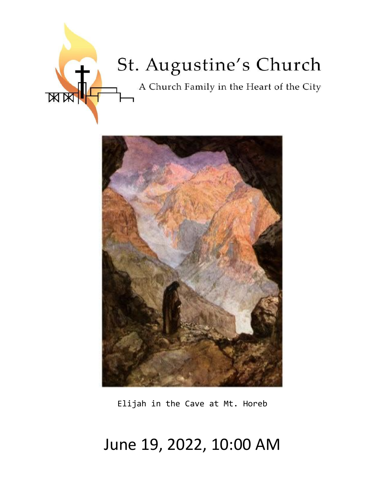



Elijah in the Cave at Mt. Horeb

# June 19, 2022, 10:00 AM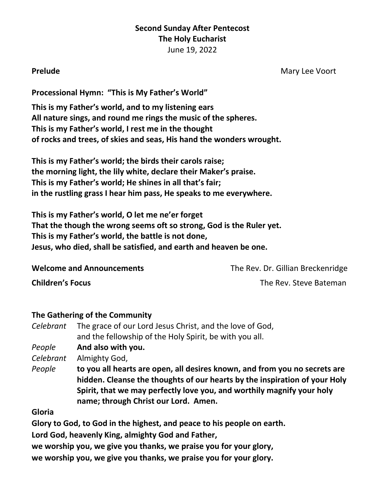# **Second Sunday After Pentecost The Holy Eucharist** June 19, 2022

**Prelude** Mary Lee Voort

**Processional Hymn: "This is My Father's World"**

**This is my Father's world, and to my listening ears All nature sings, and round me rings the music of the spheres. This is my Father's world, I rest me in the thought of rocks and trees, of skies and seas, His hand the wonders wrought.**

**This is my Father's world; the birds their carols raise; the morning light, the lily white, declare their Maker's praise. This is my Father's world; He shines in all that's fair; in the rustling grass I hear him pass, He speaks to me everywhere.**

**This is my Father's world, O let me ne'er forget That the though the wrong seems oft so strong, God is the Ruler yet. This is my Father's world, the battle is not done, Jesus, who died, shall be satisfied, and earth and heaven be one.**

**Welcome and Announcements** The Rev. Dr. Gillian Breckenridge

**Children's Focus** The Rev. Steve Bateman

### **The Gathering of the Community**

*Celebrant* The grace of our Lord Jesus Christ, and the love of God, and the fellowship of the Holy Spirit, be with you all.

*People* **And also with you.**

*Celebrant* Almighty God,

*People* **to you all hearts are open, all desires known, and from you no secrets are hidden. Cleanse the thoughts of our hearts by the inspiration of your Holy Spirit, that we may perfectly love you, and worthily magnify your holy name; through Christ our Lord. Amen.**

**Gloria**

**Glory to God, to God in the highest, and peace to his people on earth.**

**Lord God, heavenly King, almighty God and Father,**

**we worship you, we give you thanks, we praise you for your glory,**

**we worship you, we give you thanks, we praise you for your glory.**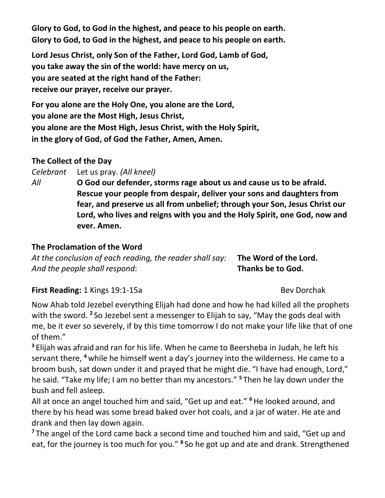**Glory to God, to God in the highest, and peace to his people on earth. Glory to God, to God in the highest, and peace to his people on earth.**

**Lord Jesus Christ, only Son of the Father, Lord God, Lamb of God, you take away the sin of the world: have mercy on us, you are seated at the right hand of the Father: receive our prayer, receive our prayer.**

**For you alone are the Holy One, you alone are the Lord, you alone are the Most High, Jesus Christ, you alone are the Most High, Jesus Christ, with the Holy Spirit, in the glory of God, of God the Father, Amen, Amen.**

# **The Collect of the Day**

*Celebrant* Let us pray. *(All kneel)*

*All* **O God our defender, storms rage about us and cause us to be afraid. Rescue your people from despair, deliver your sons and daughters from fear, and preserve us all from unbelief; through your Son, Jesus Christ our Lord, who lives and reigns with you and the Holy Spirit, one God, now and ever. Amen.**

# **The Proclamation of the Word**

*At the conclusion of each reading, the reader shall say:* **The Word of the Lord.** *And the people shall respond*: **Thanks be to God.**

# **First Reading:** 1 Kings 19:1-15a Bev Dorchak

Now Ahab told Jezebel everything Elijah had done and how he had killed all the prophets with the sword. **<sup>2</sup>** So Jezebel sent a messenger to Elijah to say, "May the gods deal with me, be it ever so severely, if by this time tomorrow I do not make your life like that of one of them."

**<sup>3</sup>** Elijah was afraid and ran for his life. When he came to Beersheba in Judah, he left his servant there, **<sup>4</sup>** while he himself went a day's journey into the wilderness. He came to a broom bush, sat down under it and prayed that he might die. "I have had enough, Lord," he said. "Take my life; I am no better than my ancestors." **<sup>5</sup>** Then he lay down under the bush and fell asleep.

All at once an angel touched him and said, "Get up and eat." **<sup>6</sup>**He looked around, and there by his head was some bread baked over hot coals, and a jar of water. He ate and drank and then lay down again.

<sup>7</sup> The angel of the Lord came back a second time and touched him and said, "Get up and eat, for the journey is too much for you." **<sup>8</sup>** So he got up and ate and drank. Strengthened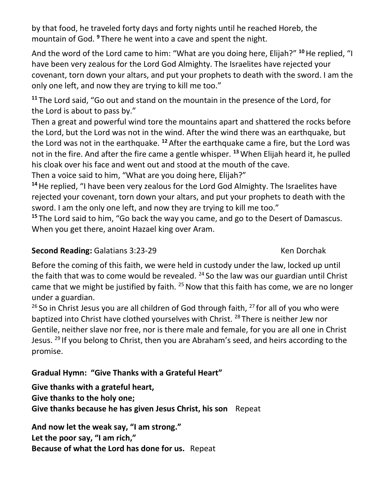by that food, he traveled forty days and forty nights until he reached Horeb, the mountain of God. **<sup>9</sup>** There he went into a cave and spent the night.

And the word of the Lord came to him: "What are you doing here, Elijah?" **<sup>10</sup>**He replied, "I have been very zealous for the Lord God Almighty. The Israelites have rejected your covenant, torn down your altars, and put your prophets to death with the sword. I am the only one left, and now they are trying to kill me too."

**<sup>11</sup>** The Lord said, "Go out and stand on the mountain in the presence of the Lord, for the Lord is about to pass by."

Then a great and powerful wind tore the mountains apart and shattered the rocks before the Lord, but the Lord was not in the wind. After the wind there was an earthquake, but the Lord was not in the earthquake. **<sup>12</sup>** After the earthquake came a fire, but the Lord was not in the fire. And after the fire came a gentle whisper. **<sup>13</sup>**When Elijah heard it, he pulled his cloak over his face and went out and stood at the mouth of the cave.

Then a voice said to him, "What are you doing here, Elijah?"

**<sup>14</sup>**He replied, "I have been very zealous for the Lord God Almighty. The Israelites have rejected your covenant, torn down your altars, and put your prophets to death with the sword. I am the only one left, and now they are trying to kill me too."

**<sup>15</sup>** The Lord said to him, "Go back the way you came, and go to the Desert of Damascus. When you get there, anoint Hazael king over Aram.

# **Second Reading:** Galatians 3:23-29 Ken Dorchak

Before the coming of this faith, we were held in custody under the law, locked up until the faith that was to come would be revealed.  $24$  So the law was our guardian until Christ came that we might be justified by faith.  $25$  Now that this faith has come, we are no longer under a guardian.

 $26$  So in Christ Jesus you are all children of God through faith,  $27$  for all of you who were baptized into Christ have clothed yourselves with Christ.<sup>28</sup> There is neither Jew nor Gentile, neither slave nor free, nor is there male and female, for you are all one in Christ Jesus.<sup>29</sup> If you belong to Christ, then you are Abraham's seed, and heirs according to the promise.

# **Gradual Hymn: "Give Thanks with a Grateful Heart"**

**Give thanks with a grateful heart, Give thanks to the holy one; Give thanks because he has given Jesus Christ, his son** Repeat

**And now let the weak say, "I am strong." Let the poor say, "I am rich," Because of what the Lord has done for us.** Repeat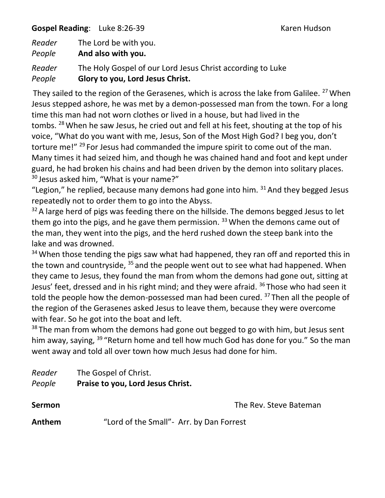**Gospel Reading**: Luke 8:26-39 Karen Hudson

| Reader | The Lord be with you.                                      |
|--------|------------------------------------------------------------|
| People | And also with you.                                         |
| Reader | The Holy Gospel of our Lord Jesus Christ according to Luke |
| People | Glory to you, Lord Jesus Christ.                           |

They sailed to the region of the Gerasenes, which is across the lake from Galilee. <sup>27</sup> When Jesus stepped ashore, he was met by a demon-possessed man from the town. For a long time this man had not worn clothes or lived in a house, but had lived in the tombs. <sup>28</sup>When he saw Jesus, he cried out and fell at his feet, shouting at the top of his voice, "What do you want with me, Jesus, Son of the Most High God? I beg you, don't torture me!" <sup>29</sup> For Jesus had commanded the impure spirit to come out of the man. Many times it had seized him, and though he was chained hand and foot and kept under guard, he had broken his chains and had been driven by the demon into solitary places. <sup>30</sup> Jesus asked him, "What is your name?"

"Legion," he replied, because many demons had gone into him.  $31$  And they begged Jesus repeatedly not to order them to go into the Abyss.

 $32$  A large herd of pigs was feeding there on the hillside. The demons begged Jesus to let them go into the pigs, and he gave them permission.  $33$  When the demons came out of the man, they went into the pigs, and the herd rushed down the steep bank into the lake and was drowned.

 $34$  When those tending the pigs saw what had happened, they ran off and reported this in the town and countryside, <sup>35</sup> and the people went out to see what had happened. When they came to Jesus, they found the man from whom the demons had gone out, sitting at Jesus' feet, dressed and in his right mind; and they were afraid. <sup>36</sup> Those who had seen it told the people how the demon-possessed man had been cured.<sup>37</sup> Then all the people of the region of the Gerasenes asked Jesus to leave them, because they were overcome with fear. So he got into the boat and left.

 $38$  The man from whom the demons had gone out begged to go with him, but Jesus sent him away, saying, <sup>39</sup> "Return home and tell how much God has done for you." So the man went away and told all over town how much Jesus had done for him.

| Reader | The Gospel of Christ.             |
|--------|-----------------------------------|
| People | Praise to you, Lord Jesus Christ. |

**Sermon Contract Sermon Contract Sermon Contract Sermon Contract Sermon Contract Sermon Anthem** "Lord of the Small"- Arr. by Dan Forrest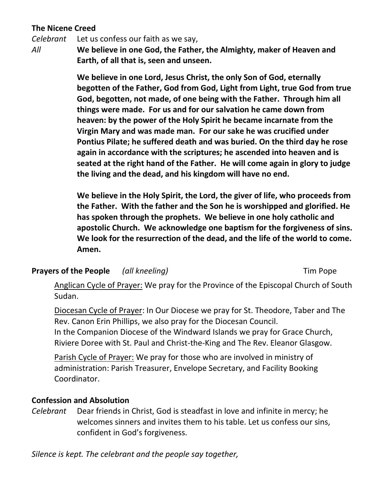# **The Nicene Creed**

*Celebrant* Let us confess our faith as we say,

*All* **We believe in one God, the Father, the Almighty, maker of Heaven and Earth, of all that is, seen and unseen.**

> **We believe in one Lord, Jesus Christ, the only Son of God, eternally begotten of the Father, God from God, Light from Light, true God from true God, begotten, not made, of one being with the Father. Through him all things were made. For us and for our salvation he came down from heaven: by the power of the Holy Spirit he became incarnate from the Virgin Mary and was made man. For our sake he was crucified under Pontius Pilate; he suffered death and was buried. On the third day he rose again in accordance with the scriptures; he ascended into heaven and is seated at the right hand of the Father. He will come again in glory to judge the living and the dead, and his kingdom will have no end.**

> **We believe in the Holy Spirit, the Lord, the giver of life, who proceeds from the Father. With the father and the Son he is worshipped and glorified. He has spoken through the prophets. We believe in one holy catholic and apostolic Church. We acknowledge one baptism for the forgiveness of sins. We look for the resurrection of the dead, and the life of the world to come. Amen.**

### **Prayers of the People** *(all kneeling)* Tim Pope

Anglican Cycle of Prayer: We pray for the Province of the Episcopal Church of South Sudan.

Diocesan Cycle of Prayer: In Our Diocese we pray for St. Theodore, Taber and The Rev. Canon Erin Phillips, we also pray for the Diocesan Council. In the Companion Diocese of the Windward Islands we pray for Grace Church, Riviere Doree with St. Paul and Christ-the-King and The Rev. Eleanor Glasgow.

Parish Cycle of Prayer: We pray for those who are involved in ministry of administration: Parish Treasurer, Envelope Secretary, and Facility Booking Coordinator.

#### **Confession and Absolution**

*Celebrant* Dear friends in Christ, God is steadfast in love and infinite in mercy; he welcomes sinners and invites them to his table. Let us confess our sins, confident in God's forgiveness.

*Silence is kept. The celebrant and the people say together,*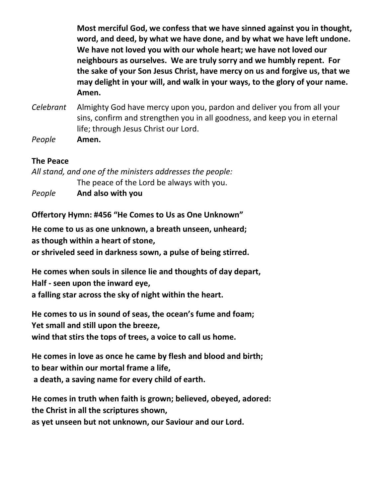**Most merciful God, we confess that we have sinned against you in thought, word, and deed, by what we have done, and by what we have left undone. We have not loved you with our whole heart; we have not loved our neighbours as ourselves. We are truly sorry and we humbly repent. For the sake of your Son Jesus Christ, have mercy on us and forgive us, that we may delight in your will, and walk in your ways, to the glory of your name. Amen.**

- *Celebrant* Almighty God have mercy upon you, pardon and deliver you from all your sins, confirm and strengthen you in all goodness, and keep you in eternal life; through Jesus Christ our Lord.
- *People* **Amen.**

### **The Peace**

*All stand, and one of the ministers addresses the people:* The peace of the Lord be always with you. *People* **And also with you**

**Offertory Hymn: #456 "He Comes to Us as One Unknown"**

**He come to us as one unknown, a breath unseen, unheard; as though within a heart of stone,** 

**or shriveled seed in darkness sown, a pulse of being stirred.**

**He comes when souls in silence lie and thoughts of day depart, Half - seen upon the inward eye,** 

**a falling star across the sky of night within the heart.**

**He comes to us in sound of seas, the ocean's fume and foam; Yet small and still upon the breeze, wind that stirs the tops of trees, a voice to call us home.**

**He comes in love as once he came by flesh and blood and birth; to bear within our mortal frame a life, a death, a saving name for every child of earth.**

**He comes in truth when faith is grown; believed, obeyed, adored: the Christ in all the scriptures shown, as yet unseen but not unknown, our Saviour and our Lord.**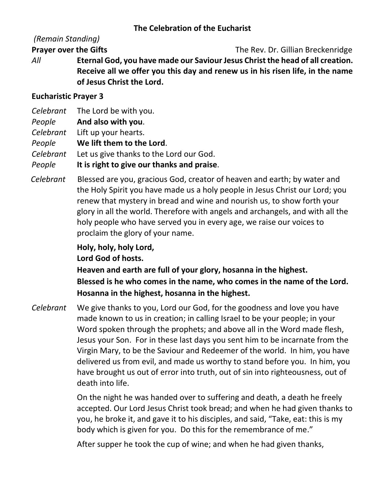### **The Celebration of the Eucharist**

# *(Remain Standing)*

**Prayer over the Gifts** The Rev. Dr. Gillian Breckenridge

*All* **Eternal God, you have made our Saviour Jesus Christ the head of all creation. Receive all we offer you this day and renew us in his risen life, in the name of Jesus Christ the Lord.**

### **Eucharistic Prayer 3**

- *Celebrant* The Lord be with you.
- *People* **And also with you**.
- *Celebrant* Lift up your hearts.

*People* **We lift them to the Lord**.

*Celebrant* Let us give thanks to the Lord our God.

*People* **It is right to give our thanks and praise**.

 *Celebrant* Blessed are you, gracious God, creator of heaven and earth; by water and the Holy Spirit you have made us a holy people in Jesus Christ our Lord; you renew that mystery in bread and wine and nourish us, to show forth your glory in all the world. Therefore with angels and archangels, and with all the holy people who have served you in every age, we raise our voices to proclaim the glory of your name.

**Holy, holy, holy Lord,**

**Lord God of hosts.**

**Heaven and earth are full of your glory, hosanna in the highest. Blessed is he who comes in the name, who comes in the name of the Lord. Hosanna in the highest, hosanna in the highest.**

*Celebrant* We give thanks to you, Lord our God, for the goodness and love you have made known to us in creation; in calling Israel to be your people; in your Word spoken through the prophets; and above all in the Word made flesh, Jesus your Son. For in these last days you sent him to be incarnate from the Virgin Mary, to be the Saviour and Redeemer of the world. In him, you have delivered us from evil, and made us worthy to stand before you. In him, you have brought us out of error into truth, out of sin into righteousness, out of death into life.

> On the night he was handed over to suffering and death, a death he freely accepted. Our Lord Jesus Christ took bread; and when he had given thanks to you, he broke it, and gave it to his disciples, and said, "Take, eat: this is my body which is given for you. Do this for the remembrance of me."

After supper he took the cup of wine; and when he had given thanks,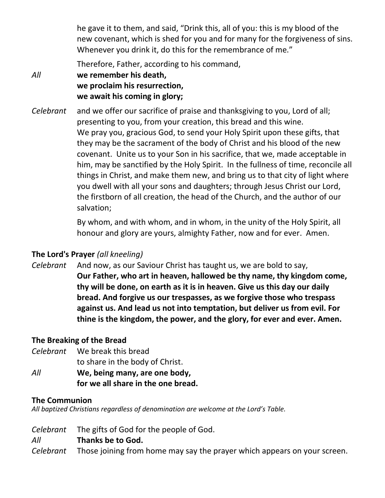he gave it to them, and said, "Drink this, all of you: this is my blood of the new covenant, which is shed for you and for many for the forgiveness of sins. Whenever you drink it, do this for the remembrance of me."

Therefore, Father, according to his command,

*All* **we remember his death, we proclaim his resurrection, we await his coming in glory;**

*Celebrant* and we offer our sacrifice of praise and thanksgiving to you, Lord of all; presenting to you, from your creation, this bread and this wine. We pray you, gracious God, to send your Holy Spirit upon these gifts, that they may be the sacrament of the body of Christ and his blood of the new covenant. Unite us to your Son in his sacrifice, that we, made acceptable in him, may be sanctified by the Holy Spirit. In the fullness of time, reconcile all things in Christ, and make them new, and bring us to that city of light where you dwell with all your sons and daughters; through Jesus Christ our Lord, the firstborn of all creation, the head of the Church, and the author of our salvation;

> By whom, and with whom, and in whom, in the unity of the Holy Spirit, all honour and glory are yours, almighty Father, now and for ever. Amen.

# **The Lord's Prayer** *(all kneeling)*

*Celebrant* And now, as our Saviour Christ has taught us, we are bold to say, **Our Father, who art in heaven, hallowed be thy name, thy kingdom come, thy will be done, on earth as it is in heaven. Give us this day our daily bread. And forgive us our trespasses, as we forgive those who trespass against us. And lead us not into temptation, but deliver us from evil. For thine is the kingdom, the power, and the glory, for ever and ever. Amen.**

# **The Breaking of the Bread**

*Celebrant* We break this bread

to share in the body of Christ.

*All* **We, being many, are one body, for we all share in the one bread.**

### **The Communion**

*All baptized Christians regardless of denomination are welcome at the Lord's Table.*

*Celebrant* The gifts of God for the people of God.

### *All* **Thanks be to God.**

*Celebrant* Those joining from home may say the prayer which appears on your screen.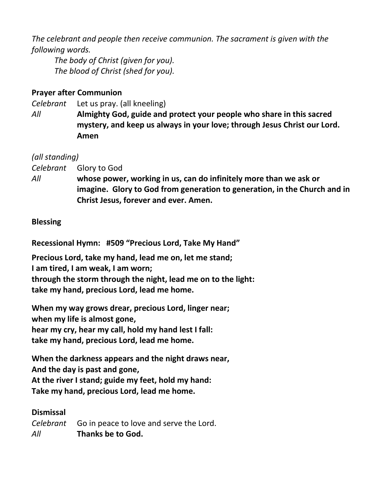*The celebrant and people then receive communion. The sacrament is given with the following words.*

*The body of Christ (given for you). The blood of Christ (shed for you).*

### **Prayer after Communion**

*Celebrant* Let us pray. (all kneeling)

*All* **Almighty God, guide and protect your people who share in this sacred mystery, and keep us always in your love; through Jesus Christ our Lord. Amen**

## *(all standing)*

*Celebrant* Glory to God

*All* **whose power, working in us, can do infinitely more than we ask or imagine. Glory to God from generation to generation, in the Church and in Christ Jesus, forever and ever. Amen.**

## **Blessing**

**Recessional Hymn: #509 "Precious Lord, Take My Hand"**

**Precious Lord, take my hand, lead me on, let me stand;**

**I am tired, I am weak, I am worn;**

**through the storm through the night, lead me on to the light: take my hand, precious Lord, lead me home.**

**When my way grows drear, precious Lord, linger near; when my life is almost gone, hear my cry, hear my call, hold my hand lest I fall: take my hand, precious Lord, lead me home.**

**When the darkness appears and the night draws near, And the day is past and gone, At the river I stand; guide my feet, hold my hand: Take my hand, precious Lord, lead me home.**

### **Dismissal**

*Celebrant* Go in peace to love and serve the Lord. *All* **Thanks be to God.**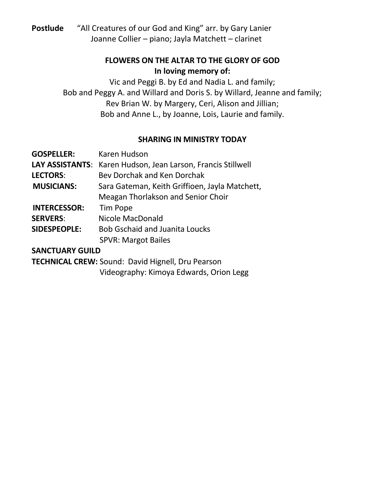**Postlude** "All Creatures of our God and King" arr. by Gary Lanier Joanne Collier – piano; Jayla Matchett – clarinet

# **FLOWERS ON THE ALTAR TO THE GLORY OF GOD In loving memory of:**

Vic and Peggi B. by Ed and Nadia L. and family; Bob and Peggy A. and Willard and Doris S. by Willard, Jeanne and family; Rev Brian W. by Margery, Ceri, Alison and Jillian; Bob and Anne L., by Joanne, Lois, Laurie and family.

### **SHARING IN MINISTRY TODAY**

| <b>GOSPELLER:</b>   | Karen Hudson                                                 |  |
|---------------------|--------------------------------------------------------------|--|
|                     | LAY ASSISTANTS: Karen Hudson, Jean Larson, Francis Stillwell |  |
| <b>LECTORS:</b>     | Bey Dorchak and Ken Dorchak                                  |  |
| <b>MUSICIANS:</b>   | Sara Gateman, Keith Griffioen, Jayla Matchett,               |  |
|                     | Meagan Thorlakson and Senior Choir                           |  |
| <b>INTERCESSOR:</b> | Tim Pope                                                     |  |
| <b>SERVERS:</b>     | Nicole MacDonald                                             |  |
| SIDESPEOPLE:        | <b>Bob Gschaid and Juanita Loucks</b>                        |  |
|                     | <b>SPVR: Margot Bailes</b>                                   |  |
| SANCTHARY GHILD     |                                                              |  |

**SANCTUARY GUILD**

**TECHNICAL CREW:** Sound: David Hignell, Dru Pearson

Videography: Kimoya Edwards, Orion Legg